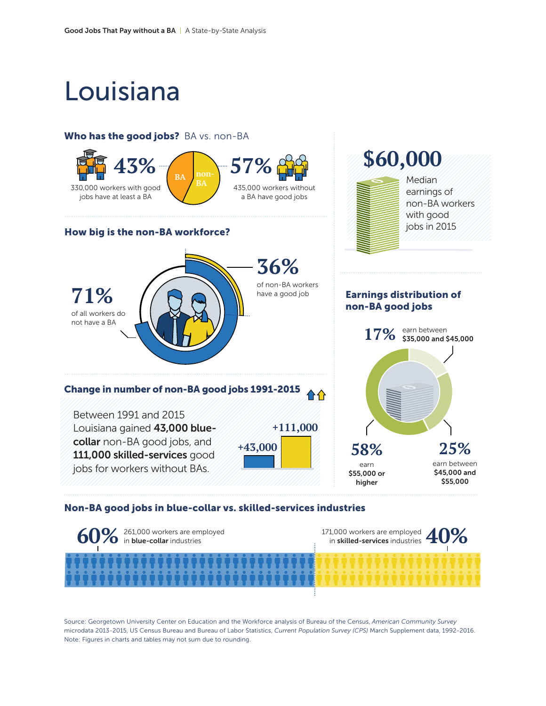# Louisiana

#### Who has the good jobs? BA vs. non-BA



#### Non-BA good jobs in blue-collar vs. skilled-services industries



Source: Georgetown University Center on Education and the Workforce analysis of Bureau of the Census, *American Community Survey*  microdata 2013-2015, US Census Bureau and Bureau of Labor Statistics, *Current Population Survey (CPS)* March Supplement data, 1992-2016. Note: Figures in charts and tables may not sum due to rounding.